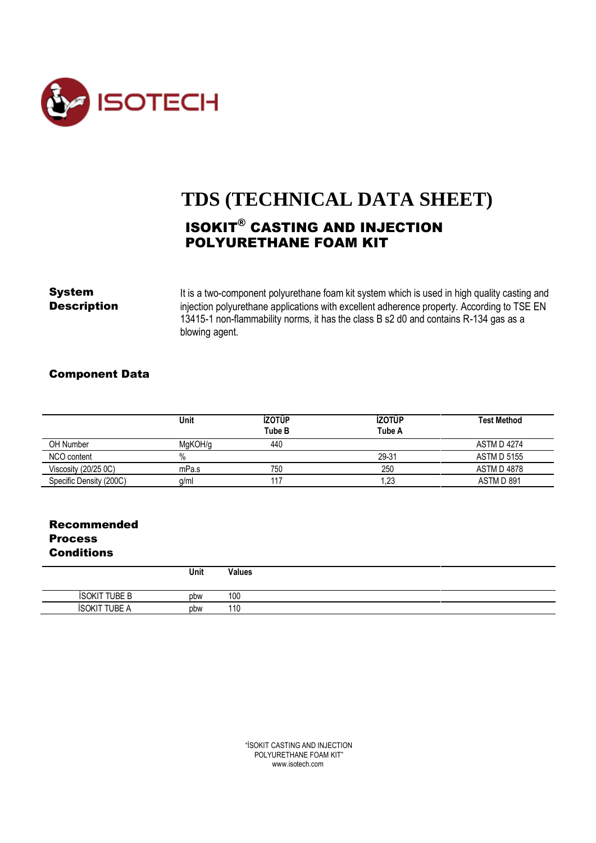

# **TDS (TECHNICAL DATA SHEET)** ISOKIT® CASTING AND INJECTION POLYURETHANE FOAM KIT

**System** It is a two-component polyurethane foam kit system which is used in high quality casting and<br>**Description** injection polyurethane applications with excellent adherence property. According to TSE EN injection polyurethane applications with excellent adherence property. According to TSE EN 13415-1 non-flammability norms, it has the class B s2 d0 and contains R-134 gas as a blowing agent.

#### Component Data

|                         | Unit    | <b>İZOTÜP</b><br>Tube B | <b>İZOTÜP</b><br>Tube A | <b>Test Method</b> |
|-------------------------|---------|-------------------------|-------------------------|--------------------|
| <b>OH Number</b>        | MaKOH/a | 440                     |                         | <b>ASTM D 4274</b> |
| NCO content             | $\%$    |                         | 29-31                   | <b>ASTM D 5155</b> |
| Viscosity $(20/250C)$   | mPa.s   | 750                     | 250                     | <b>ASTM D 4878</b> |
| Specific Density (200C) | q/m     | 117                     | 23.ا                    | ASTM D 891         |

## Recommended Process **Conditions**

|                      | Unit | <b>Values</b> |
|----------------------|------|---------------|
| <b>İSOKIT TUBE B</b> | pbw  | 100           |
| UBE A<br>$ISOKI^{-}$ | pbw  | 110           |

"İSOKIT CASTING AND INJECTION POLYURETHANE FOAM KIT" www.isotech.com